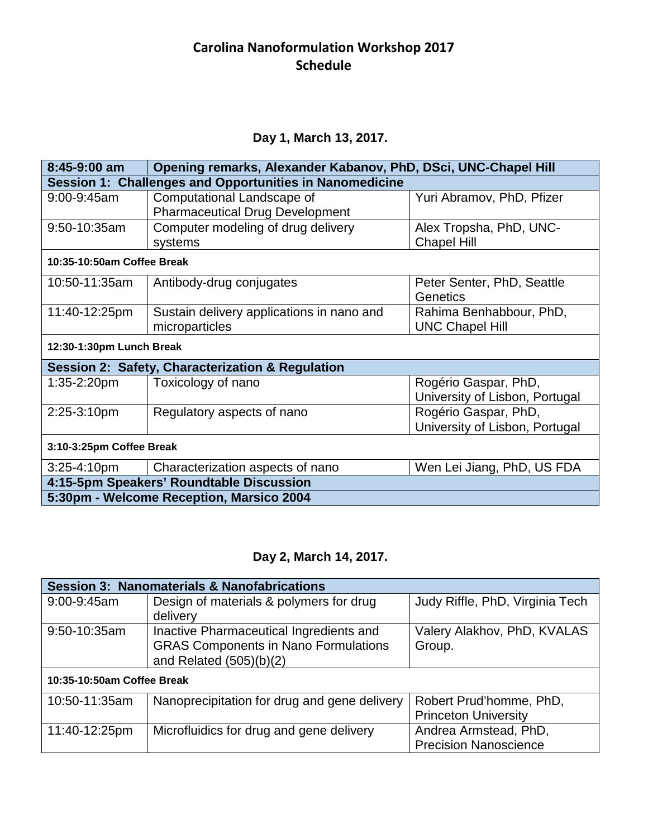#### **Carolina Nanoformulation Workshop 2017 Schedule**

#### **Day 1, March 13, 2017.**

| $8:45-9:00$ am                                          | Opening remarks, Alexander Kabanov, PhD, DSci, UNC-Chapel Hill |                                |
|---------------------------------------------------------|----------------------------------------------------------------|--------------------------------|
| Session 1: Challenges and Opportunities in Nanomedicine |                                                                |                                |
| $9:00 - 9:45$ am                                        | Computational Landscape of                                     | Yuri Abramov, PhD, Pfizer      |
|                                                         | <b>Pharmaceutical Drug Development</b>                         |                                |
| 9:50-10:35am                                            | Computer modeling of drug delivery                             | Alex Tropsha, PhD, UNC-        |
|                                                         | systems                                                        | <b>Chapel Hill</b>             |
| 10:35-10:50am Coffee Break                              |                                                                |                                |
| 10:50-11:35am                                           | Antibody-drug conjugates                                       | Peter Senter, PhD, Seattle     |
|                                                         |                                                                | Genetics                       |
| 11:40-12:25pm                                           | Sustain delivery applications in nano and                      | Rahima Benhabbour, PhD,        |
|                                                         | microparticles                                                 | <b>UNC Chapel Hill</b>         |
| 12:30-1:30pm Lunch Break                                |                                                                |                                |
|                                                         | Session 2: Safety, Characterization & Regulation               |                                |
| $1:35-2:20$ pm                                          | Toxicology of nano                                             | Rogério Gaspar, PhD,           |
|                                                         |                                                                | University of Lisbon, Portugal |
| 2:25-3:10pm                                             | Regulatory aspects of nano                                     | Rogério Gaspar, PhD,           |
|                                                         |                                                                | University of Lisbon, Portugal |
| 3:10-3:25pm Coffee Break                                |                                                                |                                |
| $3:25 - 4:10pm$                                         | Characterization aspects of nano                               | Wen Lei Jiang, PhD, US FDA     |
| 4:15-5pm Speakers' Roundtable Discussion                |                                                                |                                |
| 5:30pm - Welcome Reception, Marsico 2004                |                                                                |                                |

# **Day 2, March 14, 2017.**

| <b>Session 3: Nanomaterials &amp; Nanofabrications</b> |                                              |                                 |
|--------------------------------------------------------|----------------------------------------------|---------------------------------|
| $9:00 - 9:45$ am                                       | Design of materials & polymers for drug      | Judy Riffle, PhD, Virginia Tech |
|                                                        | delivery                                     |                                 |
| $9:50-10:35am$                                         | Inactive Pharmaceutical Ingredients and      | Valery Alakhov, PhD, KVALAS     |
|                                                        | <b>GRAS Components in Nano Formulations</b>  | Group.                          |
|                                                        | and Related $(505)(b)(2)$                    |                                 |
| 10:35-10:50am Coffee Break                             |                                              |                                 |
| 10:50-11:35am                                          | Nanoprecipitation for drug and gene delivery | Robert Prud'homme, PhD,         |
|                                                        |                                              | <b>Princeton University</b>     |
| 11:40-12:25pm                                          | Microfluidics for drug and gene delivery     | Andrea Armstead, PhD,           |
|                                                        |                                              | <b>Precision Nanoscience</b>    |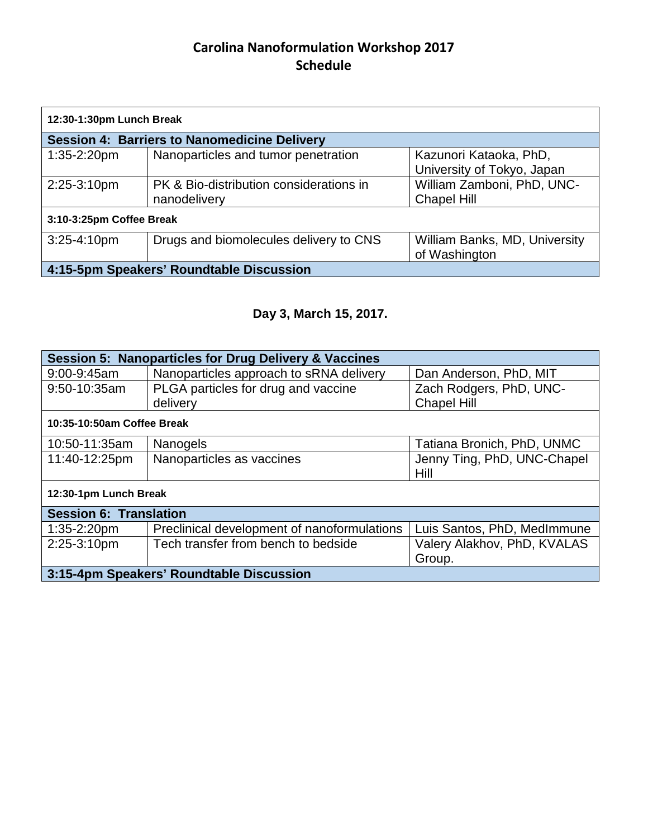## **Carolina Nanoformulation Workshop 2017 Schedule**

| 12:30-1:30pm Lunch Break                            |                                                         |                                                      |
|-----------------------------------------------------|---------------------------------------------------------|------------------------------------------------------|
| <b>Session 4: Barriers to Nanomedicine Delivery</b> |                                                         |                                                      |
| $1:35-2:20$ pm                                      | Nanoparticles and tumor penetration                     | Kazunori Kataoka, PhD,<br>University of Tokyo, Japan |
| 2:25-3:10pm                                         | PK & Bio-distribution considerations in<br>nanodelivery | William Zamboni, PhD, UNC-<br><b>Chapel Hill</b>     |
| 3:10-3:25pm Coffee Break                            |                                                         |                                                      |
| $3:25 - 4:10$ pm                                    | Drugs and biomolecules delivery to CNS                  | William Banks, MD, University<br>of Washington       |
| 4:15-5pm Speakers' Roundtable Discussion            |                                                         |                                                      |

# **Day 3, March 15, 2017.**

| <b>Session 5: Nanoparticles for Drug Delivery &amp; Vaccines</b> |                                             |                             |
|------------------------------------------------------------------|---------------------------------------------|-----------------------------|
| $9:00 - 9:45$ am                                                 | Nanoparticles approach to sRNA delivery     | Dan Anderson, PhD, MIT      |
| 9:50-10:35am                                                     | PLGA particles for drug and vaccine         | Zach Rodgers, PhD, UNC-     |
|                                                                  | delivery                                    | <b>Chapel Hill</b>          |
| 10:35-10:50am Coffee Break                                       |                                             |                             |
| 10:50-11:35am                                                    | <b>Nanogels</b>                             | Tatiana Bronich, PhD, UNMC  |
| 11:40-12:25pm                                                    | Nanoparticles as vaccines                   | Jenny Ting, PhD, UNC-Chapel |
|                                                                  |                                             | Hill                        |
| 12:30-1pm Lunch Break                                            |                                             |                             |
| <b>Session 6: Translation</b>                                    |                                             |                             |
| $1:35-2:20$ pm                                                   | Preclinical development of nanoformulations | Luis Santos, PhD, MedImmune |
| 2:25-3:10pm                                                      | Tech transfer from bench to bedside         | Valery Alakhov, PhD, KVALAS |
|                                                                  |                                             | Group.                      |
| 3:15-4pm Speakers' Roundtable Discussion                         |                                             |                             |